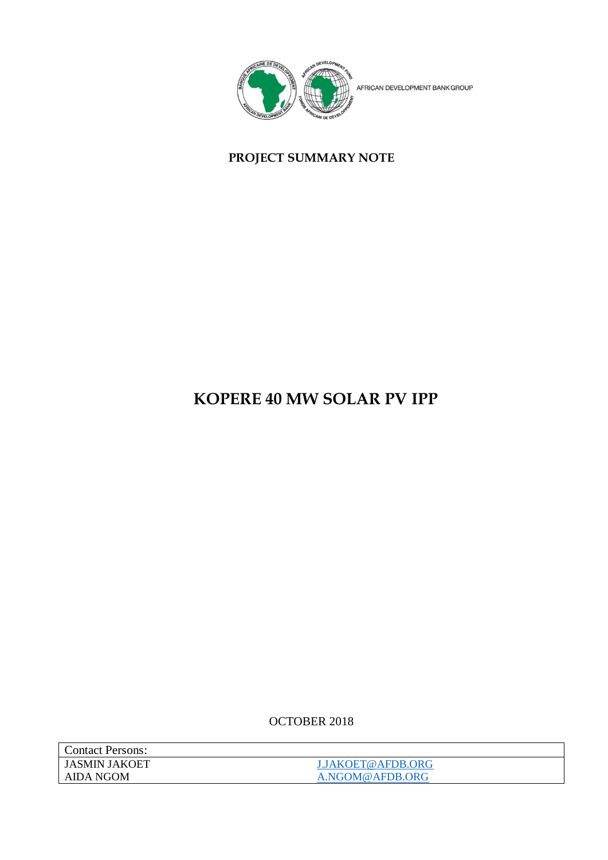

## **PROJECT SUMMARY NOTE**

## **KOPERE 40 MW SOLAR PV IPP**

OCTOBER 2018

| <b>Contact Persons:</b> |                   |
|-------------------------|-------------------|
| JASMIN JAKOET           | J.JAKOET@AFDB.ORG |
| AIDA NGOM               | A.NGOM@AFDB.ORG   |